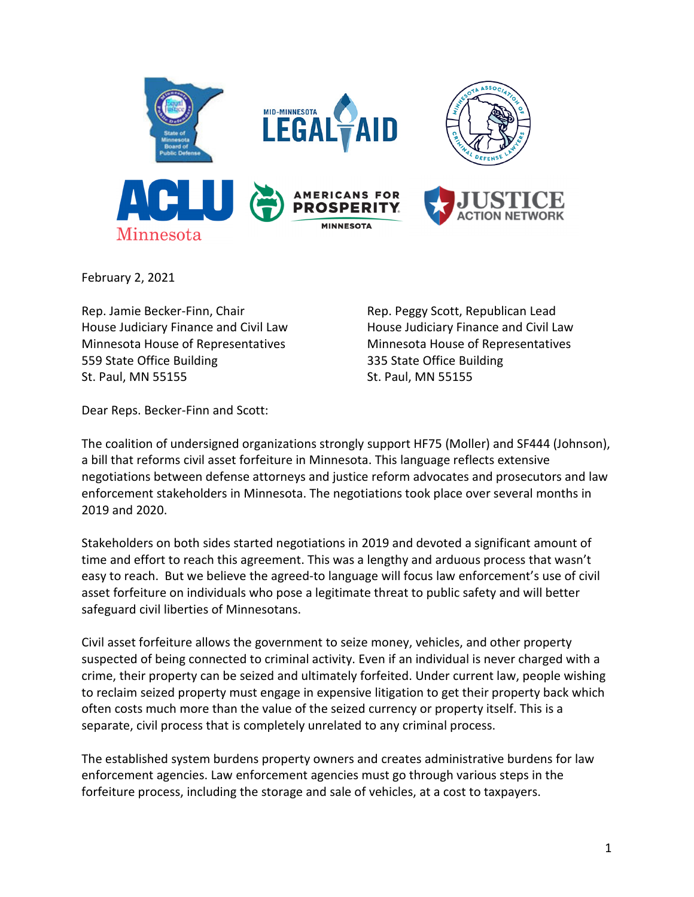

February 2, 2021

Rep. Jamie Becker-Finn, Chair Rep. Peggy Scott, Republican Lead House Judiciary Finance and Civil Law House Judiciary Finance and Civil Law Minnesota House of Representatives Minnesota House of Representatives 559 State Office Building 335 State Office Building St. Paul, MN 55155 St. Paul, MN 55155

Dear Reps. Becker-Finn and Scott:

The coalition of undersigned organizations strongly support HF75 (Moller) and SF444 (Johnson), a bill that reforms civil asset forfeiture in Minnesota. This language reflects extensive negotiations between defense attorneys and justice reform advocates and prosecutors and law enforcement stakeholders in Minnesota. The negotiations took place over several months in 2019 and 2020.

Stakeholders on both sides started negotiations in 2019 and devoted a significant amount of time and effort to reach this agreement. This was a lengthy and arduous process that wasn't easy to reach. But we believe the agreed-to language will focus law enforcement's use of civil asset forfeiture on individuals who pose a legitimate threat to public safety and will better safeguard civil liberties of Minnesotans.

Civil asset forfeiture allows the government to seize money, vehicles, and other property suspected of being connected to criminal activity. Even if an individual is never charged with a crime, their property can be seized and ultimately forfeited. Under current law, people wishing to reclaim seized property must engage in expensive litigation to get their property back which often costs much more than the value of the seized currency or property itself. This is a separate, civil process that is completely unrelated to any criminal process.

The established system burdens property owners and creates administrative burdens for law enforcement agencies. Law enforcement agencies must go through various steps in the forfeiture process, including the storage and sale of vehicles, at a cost to taxpayers.